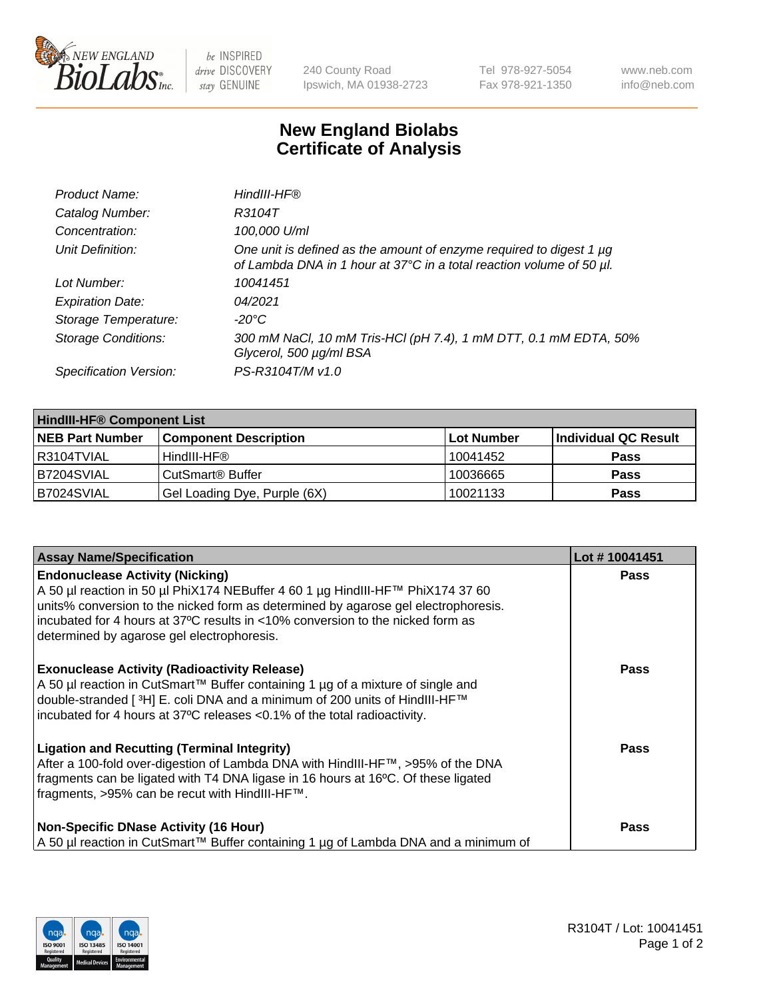

 $be$  INSPIRED drive DISCOVERY stay GENUINE

240 County Road Ipswich, MA 01938-2723 Tel 978-927-5054 Fax 978-921-1350 www.neb.com info@neb.com

## **New England Biolabs Certificate of Analysis**

| Product Name:              | HindIII-HF®                                                                                                                                      |
|----------------------------|--------------------------------------------------------------------------------------------------------------------------------------------------|
| Catalog Number:            | R3104T                                                                                                                                           |
| Concentration:             | 100,000 U/ml                                                                                                                                     |
| Unit Definition:           | One unit is defined as the amount of enzyme required to digest 1 $\mu$ g<br>of Lambda DNA in 1 hour at 37°C in a total reaction volume of 50 µl. |
| Lot Number:                | 10041451                                                                                                                                         |
| <b>Expiration Date:</b>    | 04/2021                                                                                                                                          |
| Storage Temperature:       | $-20^{\circ}$ C                                                                                                                                  |
| <b>Storage Conditions:</b> | 300 mM NaCl, 10 mM Tris-HCl (pH 7.4), 1 mM DTT, 0.1 mM EDTA, 50%<br>Glycerol, 500 µg/ml BSA                                                      |
| Specification Version:     | PS-R3104T/M v1.0                                                                                                                                 |

| <b>HindIII-HF® Component List</b> |                              |            |                      |  |  |
|-----------------------------------|------------------------------|------------|----------------------|--|--|
| <b>NEB Part Number</b>            | <b>Component Description</b> | Lot Number | Individual QC Result |  |  |
| R3104TVIAL                        | HindIII-HF®                  | 10041452   | <b>Pass</b>          |  |  |
| B7204SVIAL                        | CutSmart <sup>®</sup> Buffer | 10036665   | <b>Pass</b>          |  |  |
| B7024SVIAL                        | Gel Loading Dye, Purple (6X) | 10021133   | <b>Pass</b>          |  |  |

| <b>Assay Name/Specification</b>                                                                                                                                                                                                                                                                                                                | Lot #10041451 |
|------------------------------------------------------------------------------------------------------------------------------------------------------------------------------------------------------------------------------------------------------------------------------------------------------------------------------------------------|---------------|
| <b>Endonuclease Activity (Nicking)</b><br>A 50 µl reaction in 50 µl PhiX174 NEBuffer 4 60 1 µg HindIII-HF™ PhiX174 37 60<br>units% conversion to the nicked form as determined by agarose gel electrophoresis.<br>incubated for 4 hours at 37°C results in <10% conversion to the nicked form as<br>determined by agarose gel electrophoresis. | <b>Pass</b>   |
| <b>Exonuclease Activity (Radioactivity Release)</b><br>A 50 µl reaction in CutSmart™ Buffer containing 1 µg of a mixture of single and<br>double-stranded [3H] E. coli DNA and a minimum of 200 units of HindIII-HF™<br>incubated for 4 hours at 37°C releases <0.1% of the total radioactivity.                                               | <b>Pass</b>   |
| <b>Ligation and Recutting (Terminal Integrity)</b><br>After a 100-fold over-digestion of Lambda DNA with HindIII-HF™, >95% of the DNA<br>fragments can be ligated with T4 DNA ligase in 16 hours at 16°C. Of these ligated<br>fragments, >95% can be recut with HindIII-HF™.                                                                   | Pass          |
| <b>Non-Specific DNase Activity (16 Hour)</b><br>A 50 µl reaction in CutSmart™ Buffer containing 1 µg of Lambda DNA and a minimum of                                                                                                                                                                                                            | Pass          |